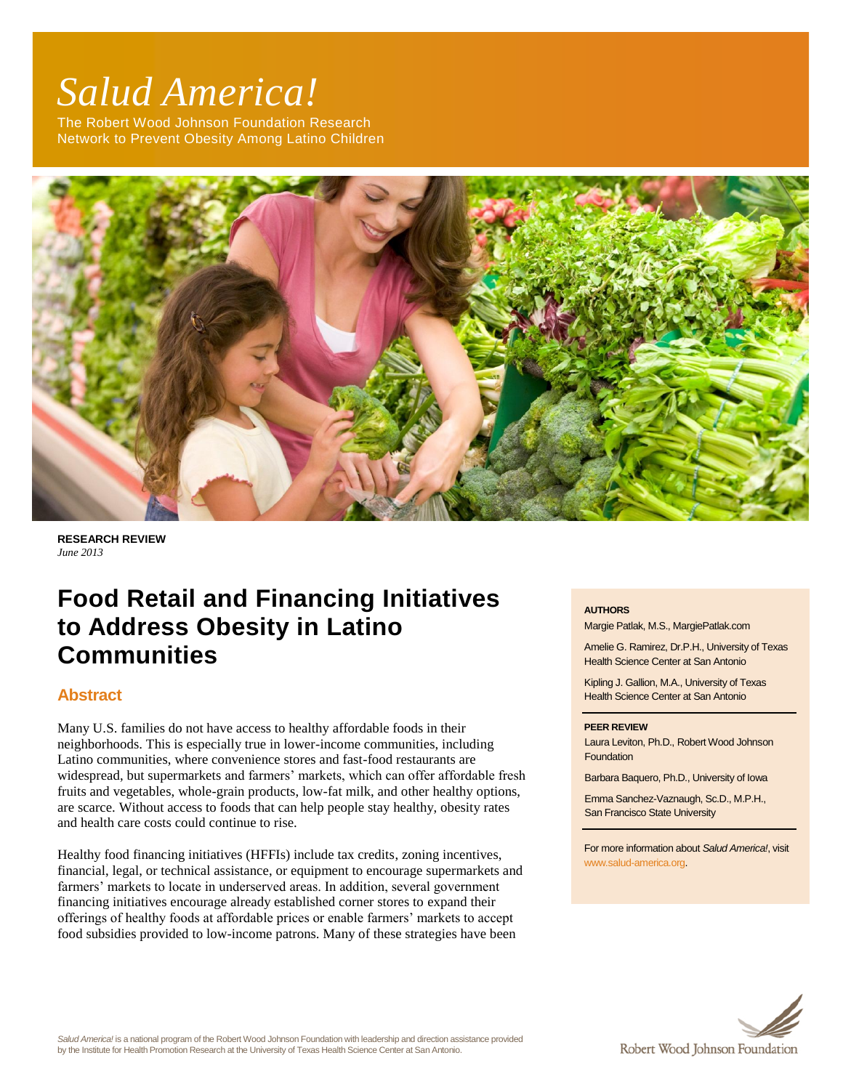# *Salud America!*

The Robert Wood Johnson Foundation Research Network to Prevent Obesity Among Latino Children



**RESEARCH REVIEW** *June 2013*

# **Food Retail and Financing Initiatives to Address Obesity in Latino Communities**

# **Abstract**

Many U.S. families do not have access to healthy affordable foods in their neighborhoods. This is especially true in lower-income communities, including Latino communities, where convenience stores and fast-food restaurants are widespread, but supermarkets and farmers' markets, which can offer affordable fresh fruits and vegetables, whole-grain products, low-fat milk, and other healthy options, are scarce. Without access to foods that can help people stay healthy, obesity rates and health care costs could continue to rise.

Healthy food financing initiatives (HFFIs) include tax credits, zoning incentives, financial, legal, or technical assistance, or equipment to encourage supermarkets and farmers' markets to locate in underserved areas. In addition, several government financing initiatives encourage already established corner stores to expand their offerings of healthy foods at affordable prices or enable farmers' markets to accept food subsidies provided to low-income patrons. Many of these strategies have been

#### **AUTHORS**

Margie Patlak, M.S., MargiePatlak.com

Amelie G. Ramirez, Dr.P.H., University of Texas Health Science Center at San Antonio

Kipling J. Gallion, M.A., University of Texas Health Science Center at San Antonio

#### **PEER REVIEW**

Laura Leviton, Ph.D., Robert Wood Johnson **Foundation** 

Barbara Baquero, Ph.D., University of Iowa

Emma Sanchez-Vaznaugh, Sc.D., M.P.H., San Francisco State University

For more information about *Salud America!*, visit [www.salud-america.org.](http://www.salud-america.org/) 

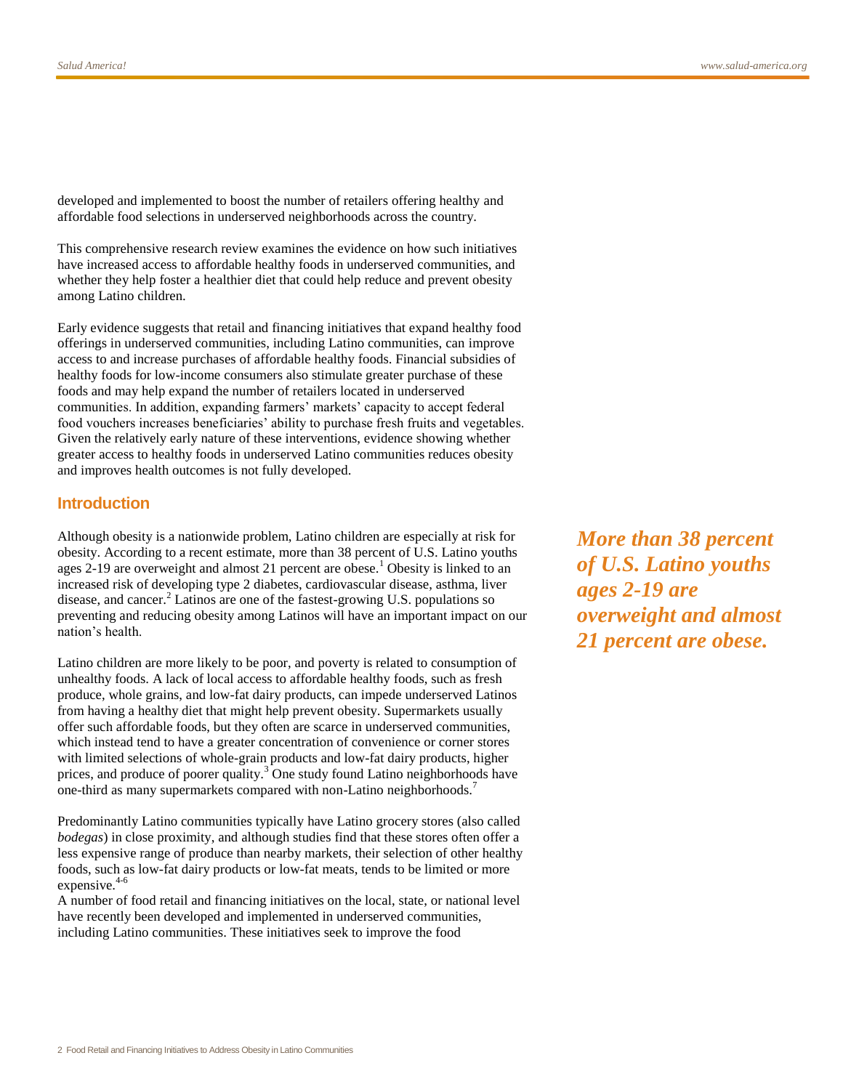developed and implemented to boost the number of retailers offering healthy and affordable food selections in underserved neighborhoods across the country.

This comprehensive research review examines the evidence on how such initiatives have increased access to affordable healthy foods in underserved communities, and whether they help foster a healthier diet that could help reduce and prevent obesity among Latino children.

Early evidence suggests that retail and financing initiatives that expand healthy food offerings in underserved communities, including Latino communities, can improve access to and increase purchases of affordable healthy foods. Financial subsidies of healthy foods for low-income consumers also stimulate greater purchase of these foods and may help expand the number of retailers located in underserved communities. In addition, expanding farmers' markets' capacity to accept federal food vouchers increases beneficiaries' ability to purchase fresh fruits and vegetables. Given the relatively early nature of these interventions, evidence showing whether greater access to healthy foods in underserved Latino communities reduces obesity and improves health outcomes is not fully developed.

## **Introduction**

Although obesity is a nationwide problem, Latino children are especially at risk for obesity. According to a recent estimate, more than 38 percent of U.S. Latino youths ages  $2-19$  are overweight and almost 21 percent are obese.<sup>1</sup> Obesity is linked to an increased risk of developing type 2 diabetes, cardiovascular disease, asthma, liver disease, and cancer.<sup>2</sup> Latinos are one of the fastest-growing U.S. populations so preventing and reducing obesity among Latinos will have an important impact on our nation's health.

Latino children are more likely to be poor, and poverty is related to consumption of unhealthy foods. A lack of local access to affordable healthy foods, such as fresh produce, whole grains, and low-fat dairy products, can impede underserved Latinos from having a healthy diet that might help prevent obesity. Supermarkets usually offer such affordable foods, but they often are scarce in underserved communities, which instead tend to have a greater concentration of convenience or corner stores with limited selections of whole-grain products and low-fat dairy products, higher prices, and produce of poorer quality.<sup>3</sup> One study found Latino neighborhoods have one-third as many supermarkets compared with non-Latino neighborhoods.<sup>7</sup>

Predominantly Latino communities typically have Latino grocery stores (also called *bodegas*) in close proximity, and although studies find that these stores often offer a less expensive range of produce than nearby markets, their selection of other healthy foods, such as low-fat dairy products or low-fat meats, tends to be limited or more expensive.<sup>4-6</sup>

A number of food retail and financing initiatives on the local, state, or national level have recently been developed and implemented in underserved communities, including Latino communities. These initiatives seek to improve the food

*More than 38 percent of U.S. Latino youths ages 2-19 are overweight and almost 21 percent are obese.*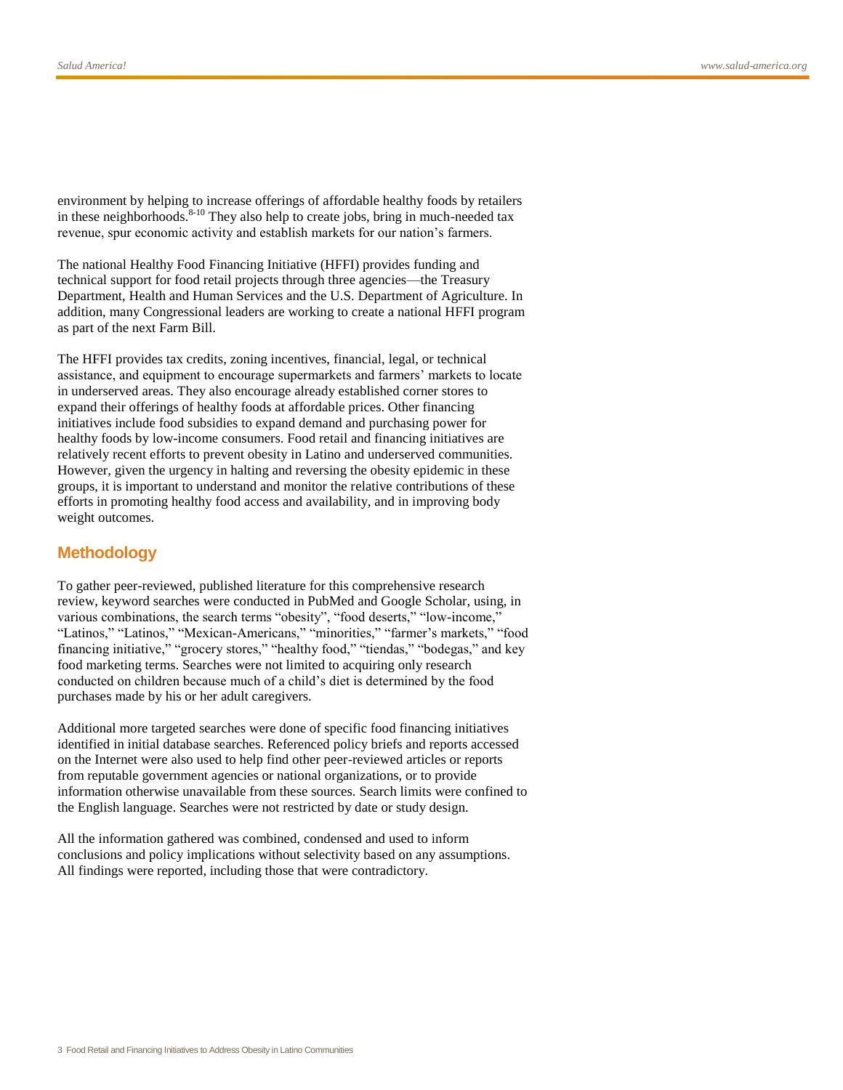environment by helping to increase offerings of affordable healthy foods by retailers in these neighborhoods.<sup>8-10</sup> They also help to create jobs, bring in much-needed tax revenue, spur economic activity and establish markets for our nation's farmers.

The national Healthy Food Financing Initiative (HFFI) provides funding and technical support for food retail projects through three agencies—the Treasury Department, Health and Human Services and the U.S. Department of Agriculture. In addition, many Congressional leaders are working to create a national HFFI program as part of the next Farm Bill.

The HFFI provides tax credits, zoning incentives, financial, legal, or technical assistance, and equipment to encourage supermarkets and farmers' markets to locate in underserved areas. They also encourage already established corner stores to expand their offerings of healthy foods at affordable prices. Other financing initiatives include food subsidies to expand demand and purchasing power for healthy foods by low-income consumers. Food retail and financing initiatives are relatively recent efforts to prevent obesity in Latino and underserved communities. However, given the urgency in halting and reversing the obesity epidemic in these groups, it is important to understand and monitor the relative contributions of these efforts in promoting healthy food access and availability, and in improving body weight outcomes.

# **Methodology**

To gather peer-reviewed, published literature for this comprehensive research review, keyword searches were conducted in PubMed and Google Scholar, using, in various combinations, the search terms "obesity", "food deserts," "low-income," "Latinos," "Latinos," "Mexican-Americans," "minorities," "farmer's markets," "food financing initiative," "grocery stores," "healthy food," "tiendas," "bodegas," and key food marketing terms. Searches were not limited to acquiring only research conducted on children because much of a child's diet is determined by the food purchases made by his or her adult caregivers.

Additional more targeted searches were done of specific food financing initiatives identified in initial database searches. Referenced policy briefs and reports accessed on the Internet were also used to help find other peer-reviewed articles or reports from reputable government agencies or national organizations, or to provide information otherwise unavailable from these sources. Search limits were confined to the English language. Searches were not restricted by date or study design.

All the information gathered was combined, condensed and used to inform conclusions and policy implications without selectivity based on any assumptions. All findings were reported, including those that were contradictory.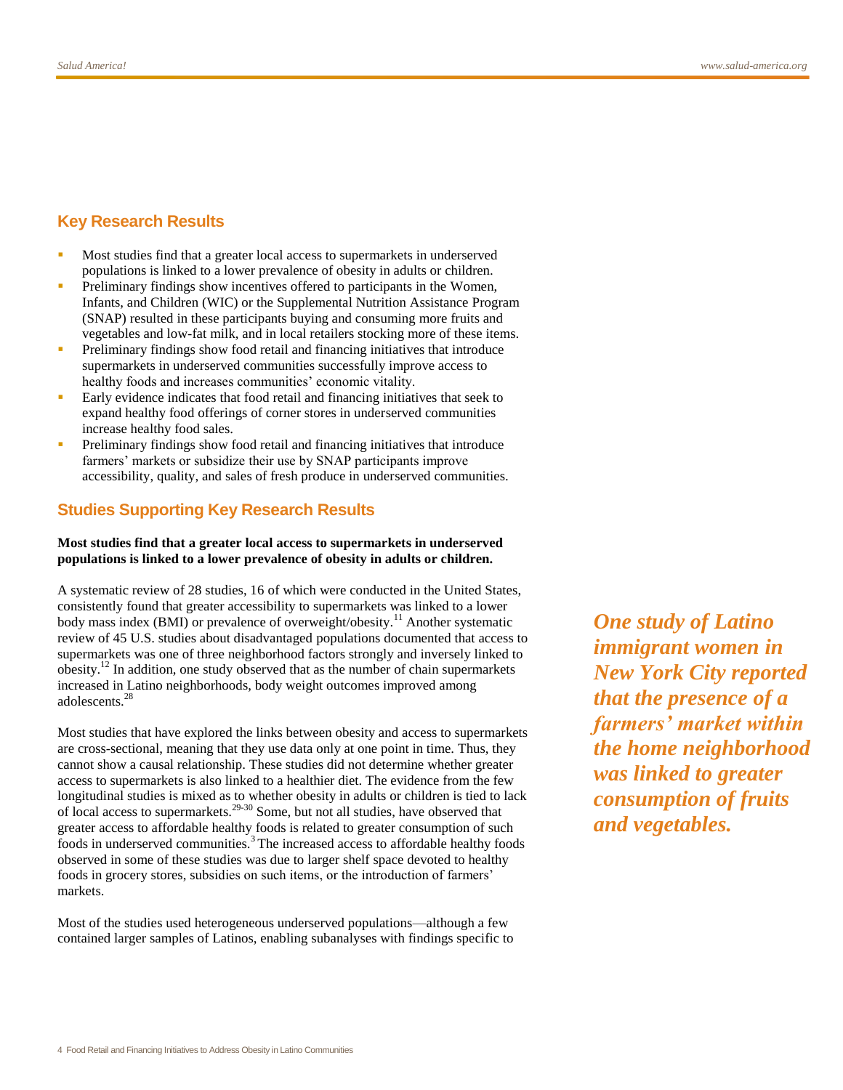# **Key Research Results**

- Most studies find that a greater local access to supermarkets in underserved populations is linked to a lower prevalence of obesity in adults or children.
- Preliminary findings show incentives offered to participants in the Women, Infants, and Children (WIC) or the Supplemental Nutrition Assistance Program (SNAP) resulted in these participants buying and consuming more fruits and vegetables and low-fat milk, and in local retailers stocking more of these items.
- Preliminary findings show food retail and financing initiatives that introduce supermarkets in underserved communities successfully improve access to healthy foods and increases communities' economic vitality.
- Early evidence indicates that food retail and financing initiatives that seek to expand healthy food offerings of corner stores in underserved communities increase healthy food sales.
- Preliminary findings show food retail and financing initiatives that introduce farmers' markets or subsidize their use by SNAP participants improve accessibility, quality, and sales of fresh produce in underserved communities.

# **Studies Supporting Key Research Results**

#### **Most studies find that a greater local access to supermarkets in underserved populations is linked to a lower prevalence of obesity in adults or children.**

A systematic review of 28 studies, 16 of which were conducted in the United States, consistently found that greater accessibility to supermarkets was linked to a lower body mass index (BMI) or prevalence of overweight/obesity.<sup>11</sup> Another systematic review of 45 U.S. studies about disadvantaged populations documented that access to supermarkets was one of three neighborhood factors strongly and inversely linked to obesity.<sup>12</sup> In addition, one study observed that as the number of chain supermarkets increased in Latino neighborhoods, body weight outcomes improved among adolescents.<sup>28</sup>

Most studies that have explored the links between obesity and access to supermarkets are cross-sectional, meaning that they use data only at one point in time. Thus, they cannot show a causal relationship. These studies did not determine whether greater access to supermarkets is also linked to a healthier diet. The evidence from the few longitudinal studies is mixed as to whether obesity in adults or children is tied to lack of local access to supermarkets.29-30 Some, but not all studies, have observed that greater access to affordable healthy foods is related to greater consumption of such foods in underserved communities.<sup>3</sup> The increased access to affordable healthy foods observed in some of these studies was due to larger shelf space devoted to healthy foods in grocery stores, subsidies on such items, or the introduction of farmers' markets.

Most of the studies used heterogeneous underserved populations—although a few contained larger samples of Latinos, enabling subanalyses with findings specific to

*One study of Latino immigrant women in New York City reported that the presence of a farmers' market within the home neighborhood was linked to greater consumption of fruits and vegetables.*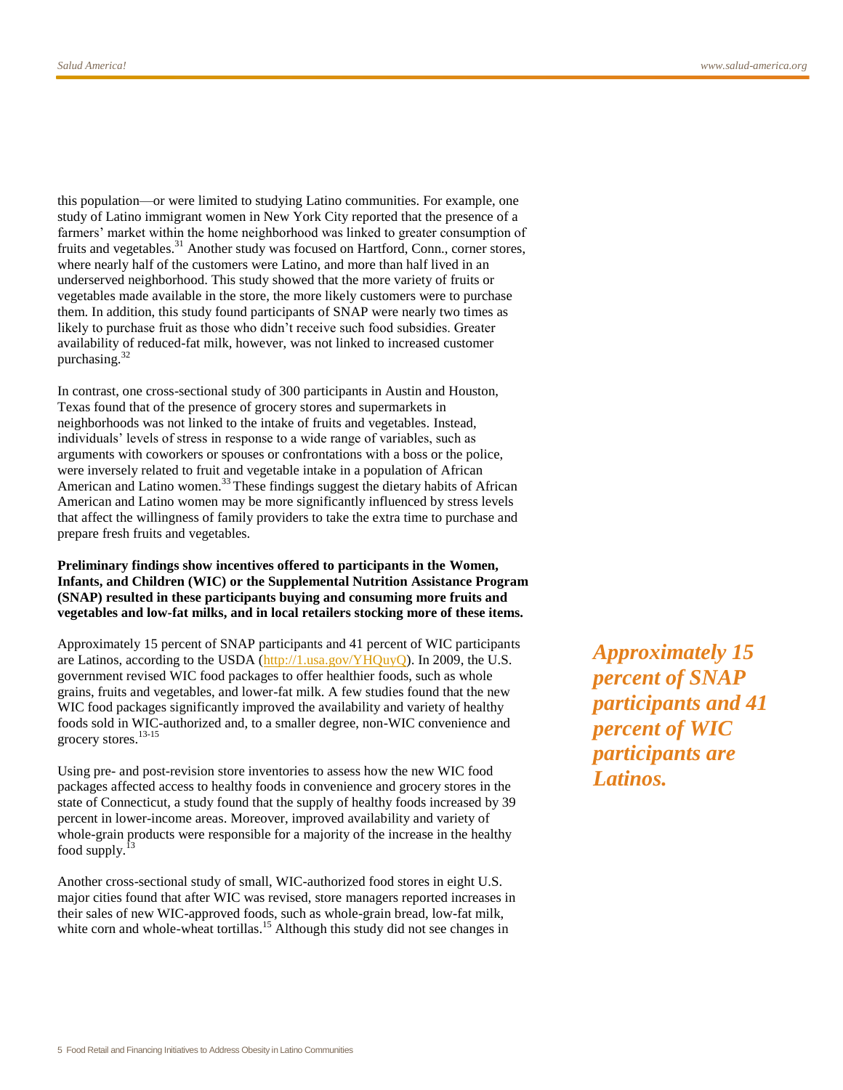this population—or were limited to studying Latino communities. For example, one study of Latino immigrant women in New York City reported that the presence of a farmers' market within the home neighborhood was linked to greater consumption of fruits and vegetables.<sup>31</sup> Another study was focused on Hartford, Conn., corner stores, where nearly half of the customers were Latino, and more than half lived in an underserved neighborhood. This study showed that the more variety of fruits or vegetables made available in the store, the more likely customers were to purchase them. In addition, this study found participants of SNAP were nearly two times as likely to purchase fruit as those who didn't receive such food subsidies. Greater availability of reduced-fat milk, however, was not linked to increased customer purchasing. $32$ 

In contrast, one cross-sectional study of 300 participants in Austin and Houston, Texas found that of the presence of grocery stores and supermarkets in neighborhoods was not linked to the intake of fruits and vegetables. Instead, individuals' levels of stress in response to a wide range of variables, such as arguments with coworkers or spouses or confrontations with a boss or the police, were inversely related to fruit and vegetable intake in a population of African American and Latino women.<sup>33</sup> These findings suggest the dietary habits of African American and Latino women may be more significantly influenced by stress levels that affect the willingness of family providers to take the extra time to purchase and prepare fresh fruits and vegetables.

**Preliminary findings show incentives offered to participants in the Women, Infants, and Children (WIC) or the Supplemental Nutrition Assistance Program (SNAP) resulted in these participants buying and consuming more fruits and vegetables and low-fat milks, and in local retailers stocking more of these items.**

Approximately 15 percent of SNAP participants and 41 percent of WIC participants are Latinos, according to the USDA [\(http://1.usa.gov/YHQuyQ\)](http://1.usa.gov/YHQuyQ). In 2009, the U.S. government revised WIC food packages to offer healthier foods, such as whole grains, fruits and vegetables, and lower-fat milk. A few studies found that the new WIC food packages significantly improved the availability and variety of healthy foods sold in WIC-authorized and, to a smaller degree, non-WIC convenience and grocery stores.<sup>13-15</sup>

Using pre- and post-revision store inventories to assess how the new WIC food packages affected access to healthy foods in convenience and grocery stores in the state of Connecticut, a study found that the supply of healthy foods increased by 39 percent in lower-income areas. Moreover, improved availability and variety of whole-grain products were responsible for a majority of the increase in the healthy food supply. $^{13}$ 

Another cross-sectional study of small, WIC-authorized food stores in eight U.S. major cities found that after WIC was revised, store managers reported increases in their sales of new WIC-approved foods, such as whole-grain bread, low-fat milk, white corn and whole-wheat tortillas.<sup>15</sup> Although this study did not see changes in

*Approximately 15 percent of SNAP participants and 41 percent of WIC participants are Latinos.*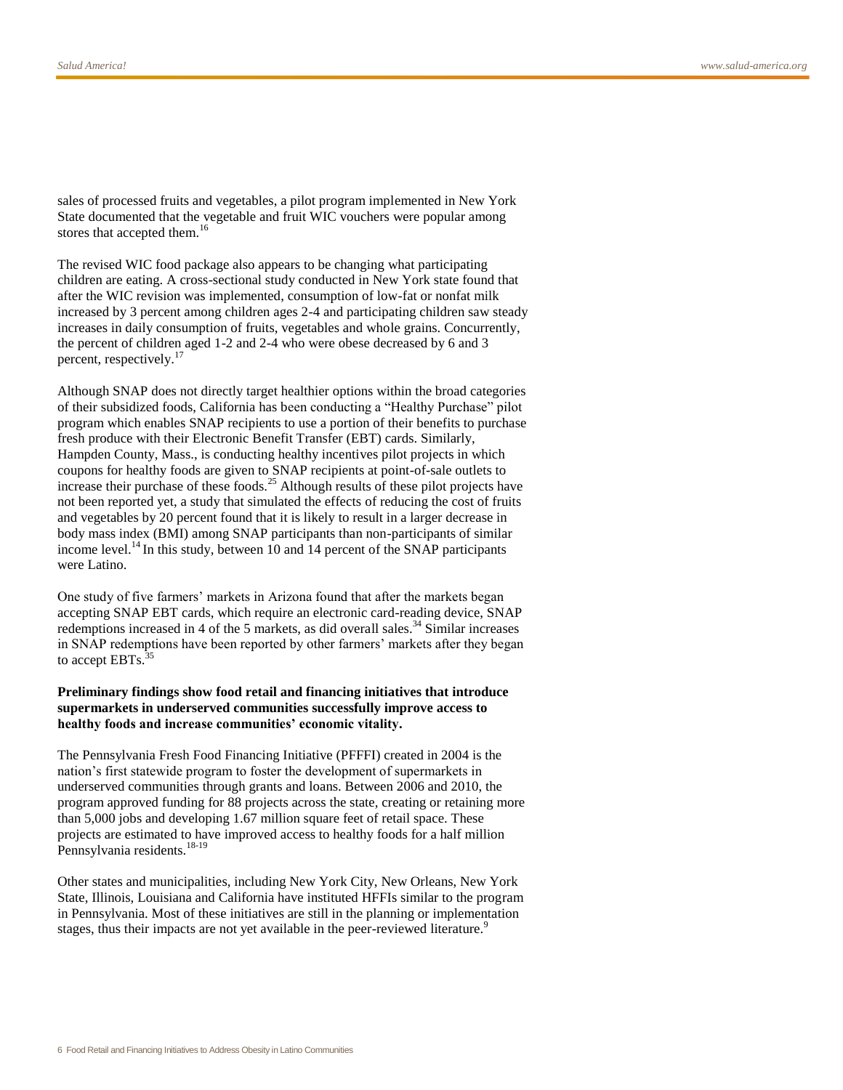sales of processed fruits and vegetables, a pilot program implemented in New York State documented that the vegetable and fruit WIC vouchers were popular among stores that accepted them.<sup>16</sup>

The revised WIC food package also appears to be changing what participating children are eating. A cross-sectional study conducted in New York state found that after the WIC revision was implemented, consumption of low-fat or nonfat milk increased by 3 percent among children ages 2-4 and participating children saw steady increases in daily consumption of fruits, vegetables and whole grains. Concurrently, the percent of children aged 1-2 and 2-4 who were obese decreased by 6 and 3 percent, respectively.<sup>17</sup>

Although SNAP does not directly target healthier options within the broad categories of their subsidized foods, California has been conducting a "Healthy Purchase" pilot program which enables SNAP recipients to use a portion of their benefits to purchase fresh produce with their Electronic Benefit Transfer (EBT) cards. Similarly, Hampden County, Mass., is conducting healthy incentives pilot projects in which coupons for healthy foods are given to SNAP recipients at point-of-sale outlets to increase their purchase of these foods.<sup>25</sup> Although results of these pilot projects have not been reported yet, a study that simulated the effects of reducing the cost of fruits and vegetables by 20 percent found that it is likely to result in a larger decrease in body mass index (BMI) among SNAP participants than non-participants of similar income level.<sup>14</sup> In this study, between 10 and 14 percent of the SNAP participants were Latino.

One study of five farmers' markets in Arizona found that after the markets began accepting SNAP EBT cards, which require an electronic card-reading device, SNAP redemptions increased in 4 of the 5 markets, as did overall sales.<sup>34</sup> Similar increases in SNAP redemptions have been reported by other farmers' markets after they began to accept EBTs.<sup>3</sup>

#### **Preliminary findings show food retail and financing initiatives that introduce supermarkets in underserved communities successfully improve access to healthy foods and increase communities' economic vitality.**

The Pennsylvania Fresh Food Financing Initiative (PFFFI) created in 2004 is the nation's first statewide program to foster the development of supermarkets in underserved communities through grants and loans. Between 2006 and 2010, the program approved funding for 88 projects across the state, creating or retaining more than 5,000 jobs and developing 1.67 million square feet of retail space. These projects are estimated to have improved access to healthy foods for a half million Pennsylvania residents.<sup>18-19</sup>

Other states and municipalities, including New York City, New Orleans, New York State, Illinois, Louisiana and California have instituted HFFIs similar to the program in Pennsylvania. Most of these initiatives are still in the planning or implementation stages, thus their impacts are not yet available in the peer-reviewed literature.<sup>9</sup>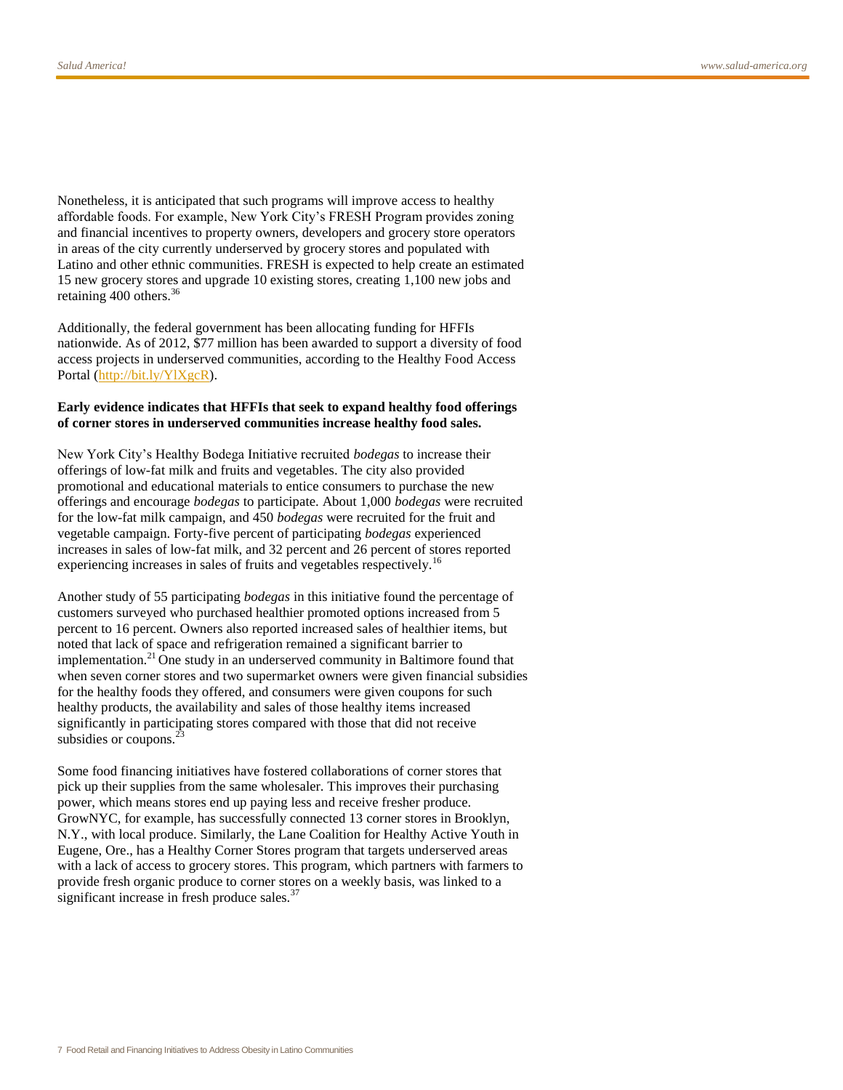Nonetheless, it is anticipated that such programs will improve access to healthy affordable foods. For example, New York City's FRESH Program provides zoning and financial incentives to property owners, developers and grocery store operators in areas of the city currently underserved by grocery stores and populated with Latino and other ethnic communities. FRESH is expected to help create an estimated 15 new grocery stores and upgrade 10 existing stores, creating 1,100 new jobs and retaining 400 others.<sup>36</sup>

Additionally, the federal government has been allocating funding for HFFIs nationwide. As of 2012, \$77 million has been awarded to support a diversity of food access projects in underserved communities, according to the Healthy Food Access Portal [\(http://bit.ly/YlXgcR\)](http://bit.ly/YlXgcR).

#### **Early evidence indicates that HFFIs that seek to expand healthy food offerings of corner stores in underserved communities increase healthy food sales.**

New York City's Healthy Bodega Initiative recruited *bodegas* to increase their offerings of low-fat milk and fruits and vegetables. The city also provided promotional and educational materials to entice consumers to purchase the new offerings and encourage *bodegas* to participate. About 1,000 *bodegas* were recruited for the low-fat milk campaign, and 450 *bodegas* were recruited for the fruit and vegetable campaign. Forty-five percent of participating *bodegas* experienced increases in sales of low-fat milk, and 32 percent and 26 percent of stores reported experiencing increases in sales of fruits and vegetables respectively.<sup>16</sup>

Another study of 55 participating *bodegas* in this initiative found the percentage of customers surveyed who purchased healthier promoted options increased from 5 percent to 16 percent. Owners also reported increased sales of healthier items, but noted that lack of space and refrigeration remained a significant barrier to implementation.<sup>21</sup> One study in an underserved community in Baltimore found that when seven corner stores and two supermarket owners were given financial subsidies for the healthy foods they offered, and consumers were given coupons for such healthy products, the availability and sales of those healthy items increased significantly in participating stores compared with those that did not receive subsidies or coupons.<sup>2</sup>

Some food financing initiatives have fostered collaborations of corner stores that pick up their supplies from the same wholesaler. This improves their purchasing power, which means stores end up paying less and receive fresher produce. GrowNYC, for example, has successfully connected 13 corner stores in Brooklyn, N.Y., with local produce. Similarly, the Lane Coalition for Healthy Active Youth in Eugene, Ore., has a Healthy Corner Stores program that targets underserved areas with a lack of access to grocery stores. This program, which partners with farmers to provide fresh organic produce to corner stores on a weekly basis, was linked to a significant increase in fresh produce sales. $37$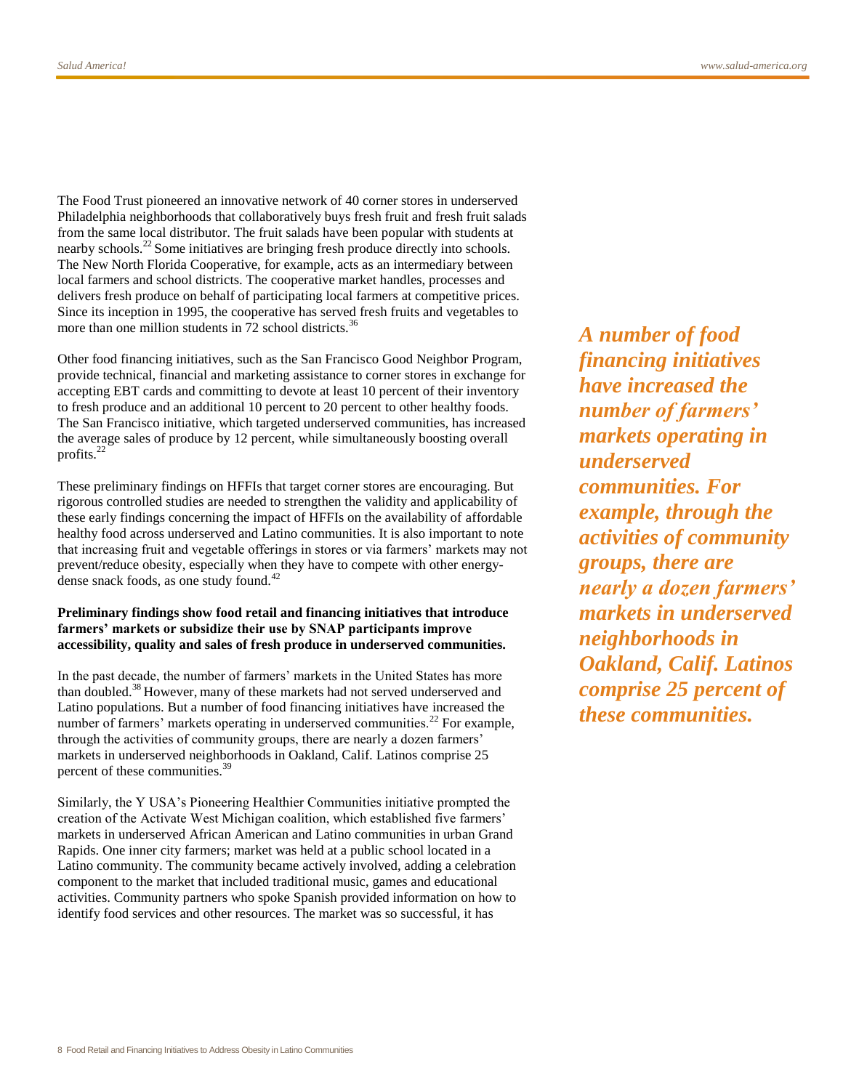The Food Trust pioneered an innovative network of 40 corner stores in underserved Philadelphia neighborhoods that collaboratively buys fresh fruit and fresh fruit salads from the same local distributor. The fruit salads have been popular with students at nearby schools.<sup>22</sup> Some initiatives are bringing fresh produce directly into schools. The New North Florida Cooperative, for example, acts as an intermediary between local farmers and school districts. The cooperative market handles, processes and delivers fresh produce on behalf of participating local farmers at competitive prices. Since its inception in 1995, the cooperative has served fresh fruits and vegetables to more than one million students in  $72$  school districts.<sup>36</sup>

Other food financing initiatives, such as the San Francisco Good Neighbor Program, provide technical, financial and marketing assistance to corner stores in exchange for accepting EBT cards and committing to devote at least 10 percent of their inventory to fresh produce and an additional 10 percent to 20 percent to other healthy foods. The San Francisco initiative, which targeted underserved communities, has increased the average sales of produce by 12 percent, while simultaneously boosting overall profits.<sup>22</sup>

These preliminary findings on HFFIs that target corner stores are encouraging. But rigorous controlled studies are needed to strengthen the validity and applicability of these early findings concerning the impact of HFFIs on the availability of affordable healthy food across underserved and Latino communities. It is also important to note that increasing fruit and vegetable offerings in stores or via farmers' markets may not prevent/reduce obesity, especially when they have to compete with other energydense snack foods, as one study found.<sup>42</sup>

#### **Preliminary findings show food retail and financing initiatives that introduce farmers' markets or subsidize their use by SNAP participants improve accessibility, quality and sales of fresh produce in underserved communities.**

In the past decade, the number of farmers' markets in the United States has more than doubled.<sup>38</sup> However, many of these markets had not served underserved and Latino populations. But a number of food financing initiatives have increased the number of farmers' markets operating in underserved communities.<sup>22</sup> For example, through the activities of community groups, there are nearly a dozen farmers' markets in underserved neighborhoods in Oakland, Calif. Latinos comprise 25 percent of these communities.<sup>39</sup>

Similarly, the Y USA's Pioneering Healthier Communities initiative prompted the creation of the Activate West Michigan coalition, which established five farmers' markets in underserved African American and Latino communities in urban Grand Rapids. One inner city farmers; market was held at a public school located in a Latino community. The community became actively involved, adding a celebration component to the market that included traditional music, games and educational activities. Community partners who spoke Spanish provided information on how to identify food services and other resources. The market was so successful, it has

*A number of food financing initiatives have increased the number of farmers' markets operating in underserved communities. For example, through the activities of community groups, there are nearly a dozen farmers' markets in underserved neighborhoods in Oakland, Calif. Latinos comprise 25 percent of these communities.*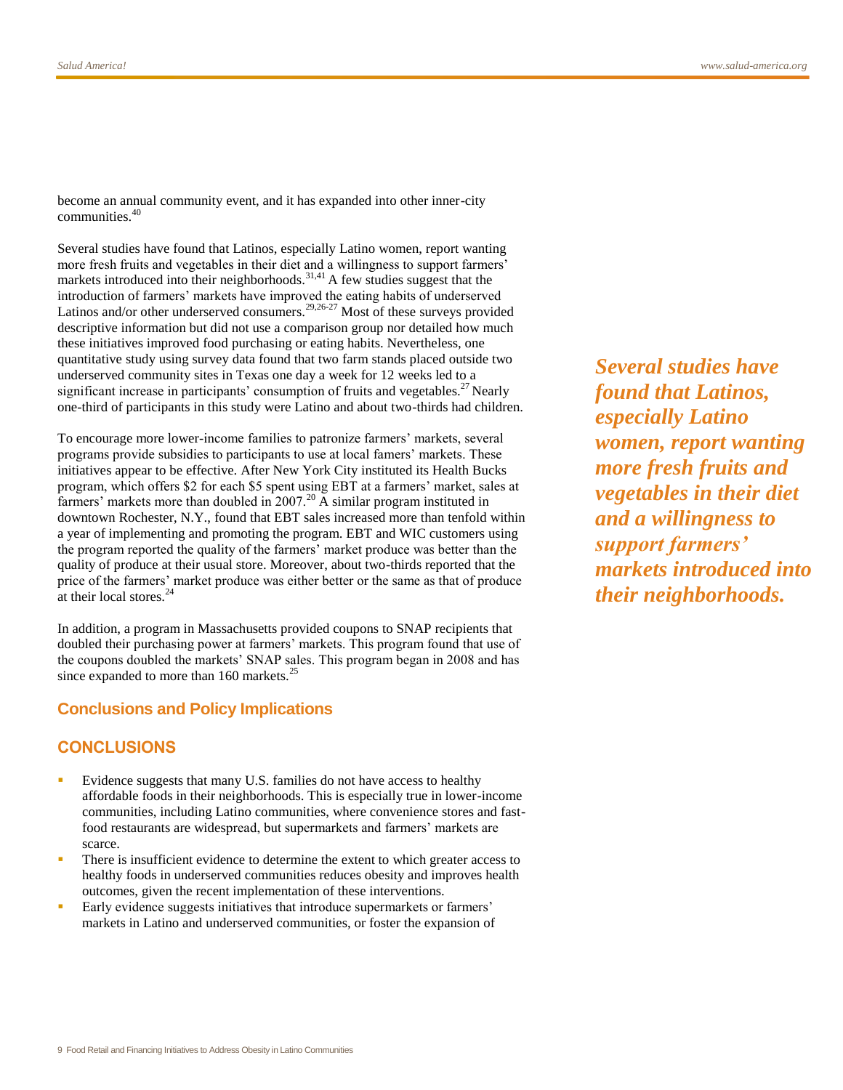become an annual community event, and it has expanded into other inner-city communities.<sup>40</sup>

Several studies have found that Latinos, especially Latino women, report wanting more fresh fruits and vegetables in their diet and a willingness to support farmers' markets introduced into their neighborhoods.<sup>31,41</sup> A few studies suggest that the introduction of farmers' markets have improved the eating habits of underserved Latinos and/or other underserved consumers.<sup>29,26-27</sup> Most of these surveys provided descriptive information but did not use a comparison group nor detailed how much these initiatives improved food purchasing or eating habits. Nevertheless, one quantitative study using survey data found that two farm stands placed outside two underserved community sites in Texas one day a week for 12 weeks led to a significant increase in participants' consumption of fruits and vegetables.<sup>27</sup> Nearly one-third of participants in this study were Latino and about two-thirds had children.

To encourage more lower-income families to patronize farmers' markets, several programs provide subsidies to participants to use at local famers' markets. These initiatives appear to be effective. After New York City instituted its Health Bucks program, which offers \$2 for each \$5 spent using EBT at a farmers' market, sales at farmers' markets more than doubled in 2007.<sup>20</sup> A similar program instituted in downtown Rochester, N.Y., found that EBT sales increased more than tenfold within a year of implementing and promoting the program. EBT and WIC customers using the program reported the quality of the farmers' market produce was better than the quality of produce at their usual store. Moreover, about two-thirds reported that the price of the farmers' market produce was either better or the same as that of produce at their local stores.<sup>24</sup>

In addition, a program in Massachusetts provided coupons to SNAP recipients that doubled their purchasing power at farmers' markets. This program found that use of the coupons doubled the markets' SNAP sales. This program began in 2008 and has since expanded to more than 160 markets.<sup>25</sup>

#### **Conclusions and Policy Implications**

# **CONCLUSIONS**

- Evidence suggests that many U.S. families do not have access to healthy affordable foods in their neighborhoods. This is especially true in lower-income communities, including Latino communities, where convenience stores and fastfood restaurants are widespread, but supermarkets and farmers' markets are scarce.
- There is insufficient evidence to determine the extent to which greater access to healthy foods in underserved communities reduces obesity and improves health outcomes, given the recent implementation of these interventions.
- Early evidence suggests initiatives that introduce supermarkets or farmers' markets in Latino and underserved communities, or foster the expansion of

*Several studies have found that Latinos, especially Latino women, report wanting more fresh fruits and vegetables in their diet and a willingness to support farmers' markets introduced into their neighborhoods.*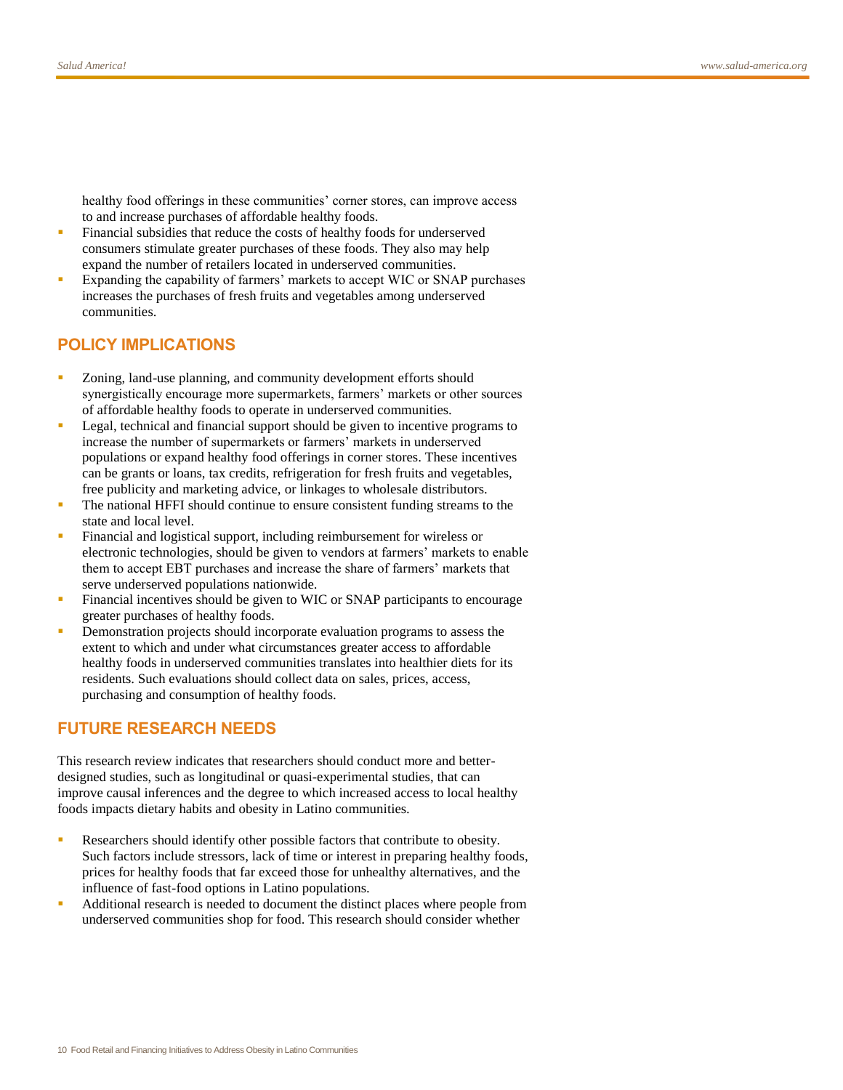healthy food offerings in these communities' corner stores, can improve access to and increase purchases of affordable healthy foods.

- Financial subsidies that reduce the costs of healthy foods for underserved consumers stimulate greater purchases of these foods. They also may help expand the number of retailers located in underserved communities.
- Expanding the capability of farmers' markets to accept WIC or SNAP purchases increases the purchases of fresh fruits and vegetables among underserved communities.

# **POLICY IMPLICATIONS**

- Zoning, land-use planning, and community development efforts should synergistically encourage more supermarkets, farmers' markets or other sources of affordable healthy foods to operate in underserved communities.
- Legal, technical and financial support should be given to incentive programs to increase the number of supermarkets or farmers' markets in underserved populations or expand healthy food offerings in corner stores. These incentives can be grants or loans, tax credits, refrigeration for fresh fruits and vegetables, free publicity and marketing advice, or linkages to wholesale distributors.
- The national HFFI should continue to ensure consistent funding streams to the state and local level.
- Financial and logistical support, including reimbursement for wireless or electronic technologies, should be given to vendors at farmers' markets to enable them to accept EBT purchases and increase the share of farmers' markets that serve underserved populations nationwide.
- Financial incentives should be given to WIC or SNAP participants to encourage greater purchases of healthy foods.
- Demonstration projects should incorporate evaluation programs to assess the extent to which and under what circumstances greater access to affordable healthy foods in underserved communities translates into healthier diets for its residents. Such evaluations should collect data on sales, prices, access, purchasing and consumption of healthy foods.

# **FUTURE RESEARCH NEEDS**

This research review indicates that researchers should conduct more and betterdesigned studies, such as longitudinal or quasi-experimental studies, that can improve causal inferences and the degree to which increased access to local healthy foods impacts dietary habits and obesity in Latino communities.

- Researchers should identify other possible factors that contribute to obesity. Such factors include stressors, lack of time or interest in preparing healthy foods, prices for healthy foods that far exceed those for unhealthy alternatives, and the influence of fast-food options in Latino populations.
- Additional research is needed to document the distinct places where people from underserved communities shop for food. This research should consider whether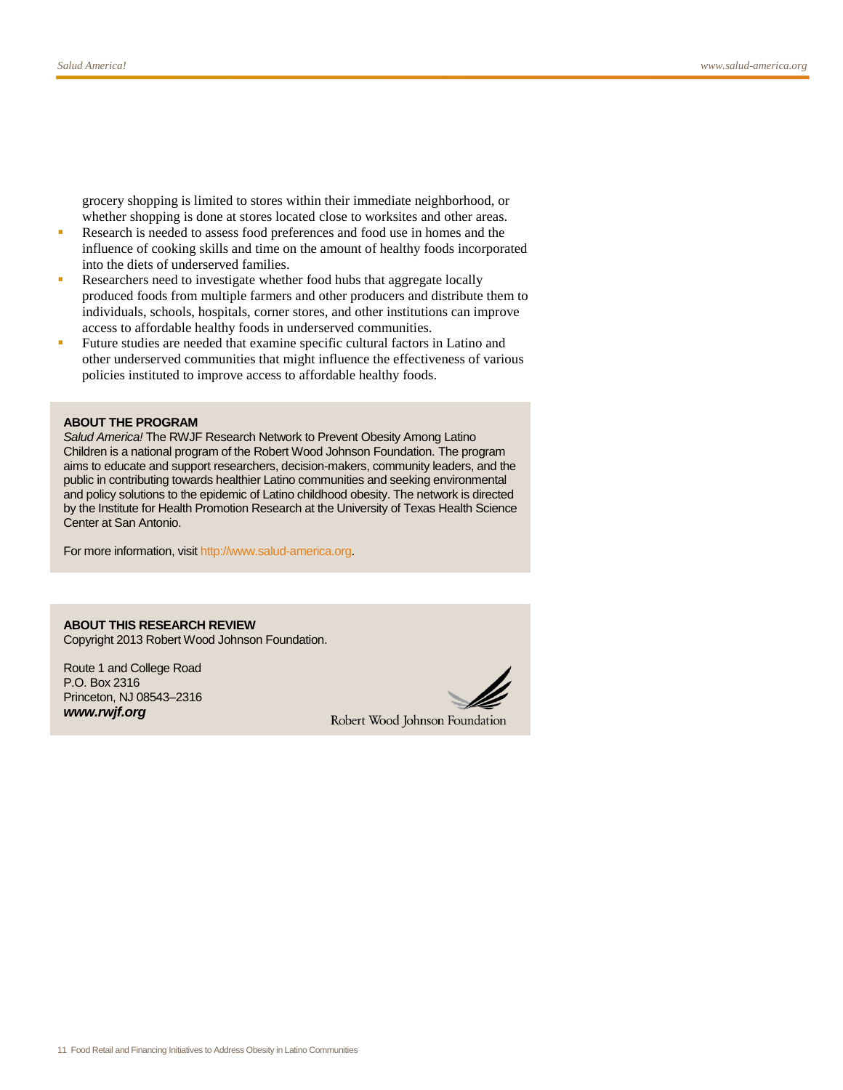grocery shopping is limited to stores within their immediate neighborhood, or whether shopping is done at stores located close to worksites and other areas.

- Research is needed to assess food preferences and food use in homes and the influence of cooking skills and time on the amount of healthy foods incorporated into the diets of underserved families.
- Researchers need to investigate whether food hubs that aggregate locally produced foods from multiple farmers and other producers and distribute them to individuals, schools, hospitals, corner stores, and other institutions can improve access to affordable healthy foods in underserved communities.
- Future studies are needed that examine specific cultural factors in Latino and other underserved communities that might influence the effectiveness of various policies instituted to improve access to affordable healthy foods.

#### **ABOUT THE PROGRAM**

*Salud America!* The RWJF Research Network to Prevent Obesity Among Latino Children is a national program of the Robert Wood Johnson Foundation. The program aims to educate and support researchers, decision-makers, community leaders, and the public in contributing towards healthier Latino communities and seeking environmental and policy solutions to the epidemic of Latino childhood obesity. The network is directed by the Institute for Health Promotion Research at the University of Texas Health Science Center at San Antonio.

For more information, visi[t http://www.salud-america.org.](http://www.salud-america.org/)

**ABOUT THIS RESEARCH REVIEW** Copyright 2013 Robert Wood Johnson Foundation.

Route 1 and College Road P.O. Box 2316 Princeton, NJ 08543–2316 *www.rwjf.org*



Robert Wood Johnson Foundation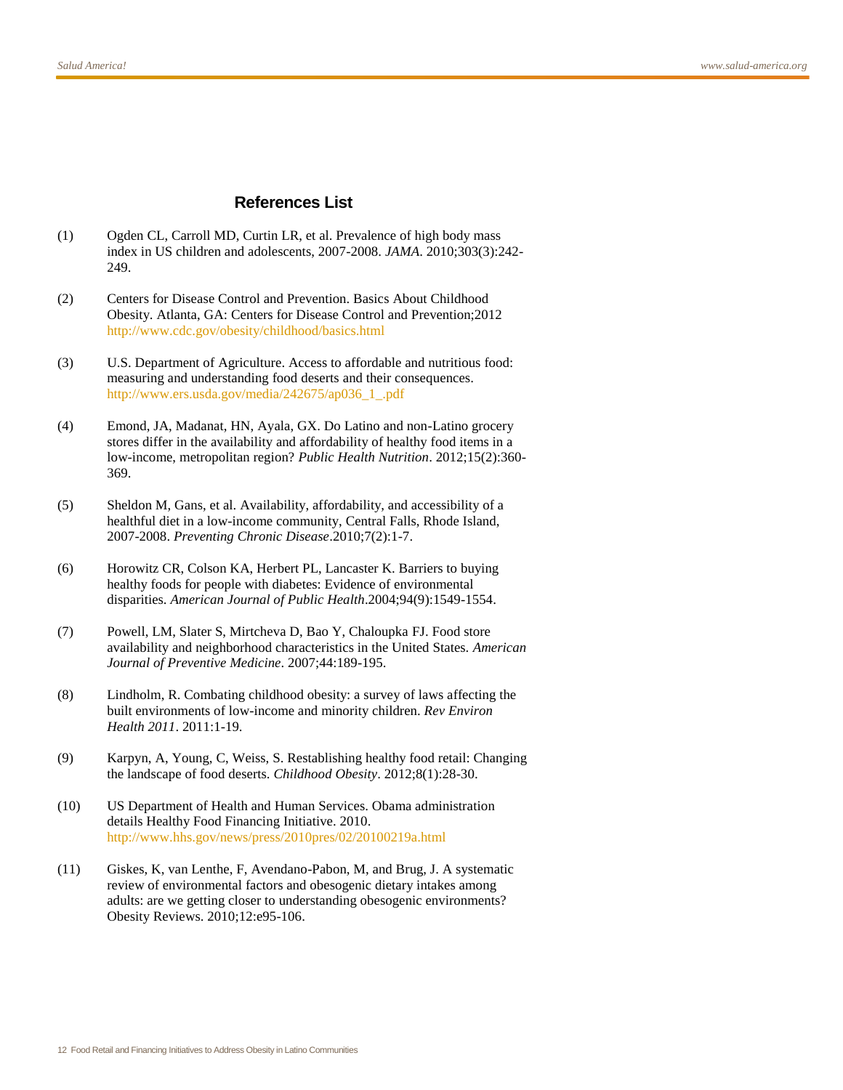### **References List**

- (1) Ogden CL, Carroll MD, Curtin LR, et al. Prevalence of high body mass index in US children and adolescents, 2007-2008. *JAMA*. 2010;303(3):242- 249.
- (2) Centers for Disease Control and Prevention. Basics About Childhood Obesity. Atlanta, GA: Centers for Disease Control and Prevention;2012 <http://www.cdc.gov/obesity/childhood/basics.html>
- (3) U.S. Department of Agriculture. Access to affordable and nutritious food: measuring and understanding food deserts and their consequences. [http://www.ers.usda.gov/media/242675/ap036\\_1\\_.pdf](http://www.ers.usda.gov/media/242675/ap036_1_.pdf)
- (4) Emond, JA, Madanat, HN, Ayala, GX. Do Latino and non-Latino grocery stores differ in the availability and affordability of healthy food items in a low-income, metropolitan region? *Public Health Nutrition*. 2012;15(2):360- 369.
- (5) Sheldon M, Gans, et al. Availability, affordability, and accessibility of a healthful diet in a low-income community, Central Falls, Rhode Island, 2007-2008. *Preventing Chronic Disease*.2010;7(2):1-7.
- (6) Horowitz CR, Colson KA, Herbert PL, Lancaster K. Barriers to buying healthy foods for people with diabetes: Evidence of environmental disparities. *American Journal of Public Health*.2004;94(9):1549-1554.
- (7) Powell, LM, Slater S, Mirtcheva D, Bao Y, Chaloupka FJ. Food store availability and neighborhood characteristics in the United States. *American Journal of Preventive Medicine*. 2007;44:189-195.
- (8) Lindholm, R. Combating childhood obesity: a survey of laws affecting the built environments of low-income and minority children. *Rev Environ Health 2011*. 2011:1-19.
- (9) Karpyn, A, Young, C, Weiss, S. Restablishing healthy food retail: Changing the landscape of food deserts. *Childhood Obesity*. 2012;8(1):28-30.
- (10) US Department of Health and Human Services. Obama administration details Healthy Food Financing Initiative. 2010. <http://www.hhs.gov/news/press/2010pres/02/20100219a.html>
- (11) Giskes, K, van Lenthe, F, Avendano-Pabon, M, and Brug, J. A systematic review of environmental factors and obesogenic dietary intakes among adults: are we getting closer to understanding obesogenic environments? Obesity Reviews. 2010;12:e95-106.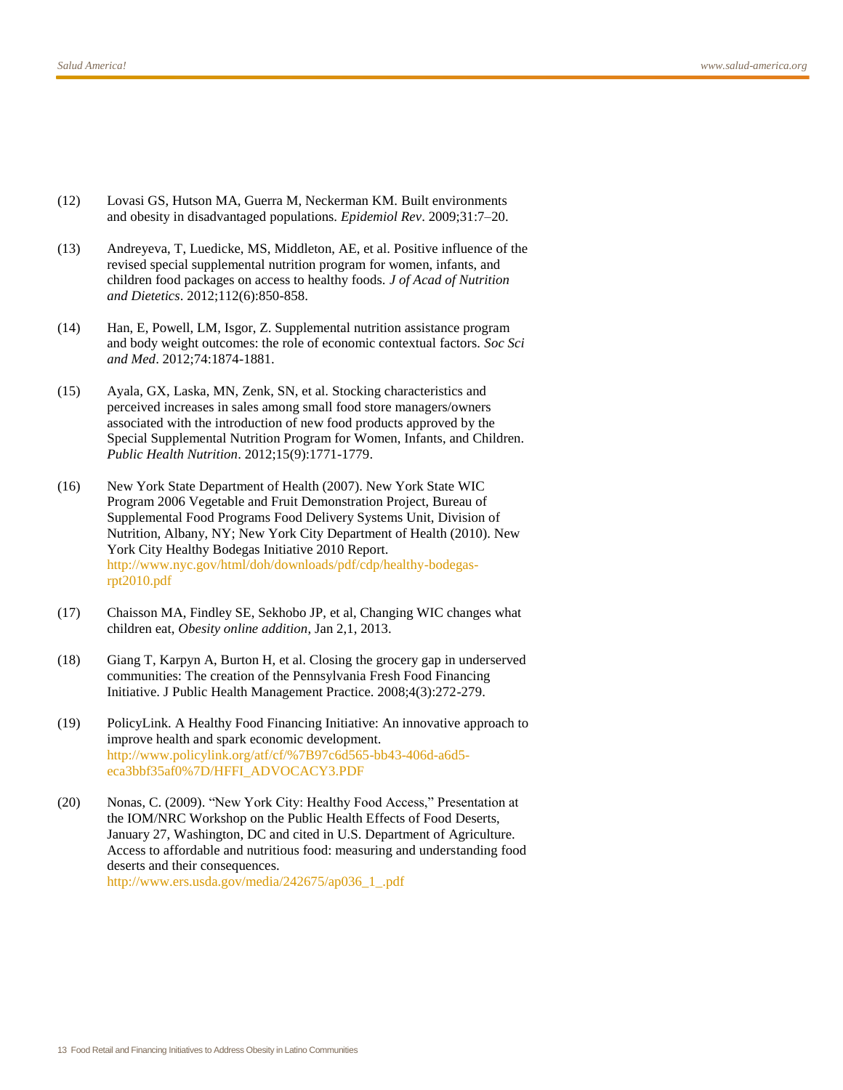- (12) Lovasi GS, Hutson MA, Guerra M, Neckerman KM. Built environments and obesity in disadvantaged populations. *Epidemiol Rev*. 2009;31:7–20.
- (13) Andreyeva, T, Luedicke, MS, Middleton, AE, et al. Positive influence of the revised special supplemental nutrition program for women, infants, and children food packages on access to healthy foods. *J of Acad of Nutrition and Dietetics*. 2012;112(6):850-858.
- (14) Han, E, Powell, LM, Isgor, Z. Supplemental nutrition assistance program and body weight outcomes: the role of economic contextual factors. *Soc Sci and Med*. 2012;74:1874-1881.
- (15) Ayala, GX, Laska, MN, Zenk, SN, et al. Stocking characteristics and perceived increases in sales among small food store managers/owners associated with the introduction of new food products approved by the Special Supplemental Nutrition Program for Women, Infants, and Children. *Public Health Nutrition*. 2012;15(9):1771-1779.
- (16) New York State Department of Health (2007). New York State WIC Program 2006 Vegetable and Fruit Demonstration Project, Bureau of Supplemental Food Programs Food Delivery Systems Unit, Division of Nutrition, Albany, NY; New York City Department of Health (2010). New York City Healthy Bodegas Initiative 2010 Report. [http://www.nyc.gov/html/doh/downloads/pdf/cdp/healthy-bodegas](http://www.nyc.gov/html/doh/downloads/pdf/cdp/healthy-bodegas-rpt2010.pdf)[rpt2010.pdf](http://www.nyc.gov/html/doh/downloads/pdf/cdp/healthy-bodegas-rpt2010.pdf)
- (17) Chaisson MA, Findley SE, Sekhobo JP, et al, Changing WIC changes what children eat, *Obesity online addition*, Jan 2,1, 2013.
- (18) Giang T, Karpyn A, Burton H, et al. Closing the grocery gap in underserved communities: The creation of the Pennsylvania Fresh Food Financing Initiative. J Public Health Management Practice. 2008;4(3):272-279.
- (19) PolicyLink. A Healthy Food Financing Initiative: An innovative approach to improve health and spark economic development. [http://www.policylink.org/atf/cf/%7B97c6d565-bb43-406d-a6d5](http://www.policylink.org/atf/cf/%7B97c6d565-bb43-406d-a6d5-eca3bbf35af0%7D/HFFI_ADVOCACY3.PDF) [eca3bbf35af0%7D/HFFI\\_ADVOCACY3.PDF](http://www.policylink.org/atf/cf/%7B97c6d565-bb43-406d-a6d5-eca3bbf35af0%7D/HFFI_ADVOCACY3.PDF)
- (20) Nonas, C. (2009). "New York City: Healthy Food Access," Presentation at the IOM/NRC Workshop on the Public Health Effects of Food Deserts, January 27, Washington, DC and cited in U.S. Department of Agriculture. Access to affordable and nutritious food: measuring and understanding food deserts and their consequences. [http://www.ers.usda.gov/media/242675/ap036\\_1\\_.pdf](http://www.ers.usda.gov/media/242675/ap036_1_.pdf)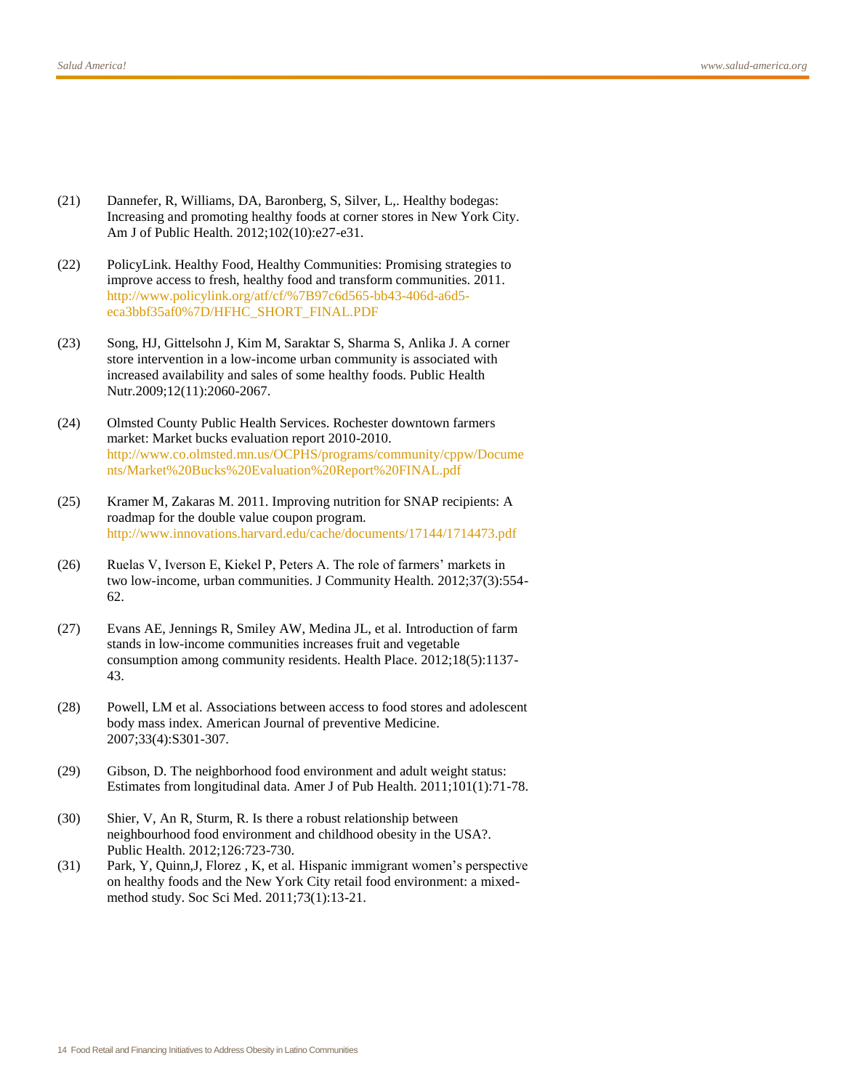- (21) Dannefer, R, Williams, DA, Baronberg, S, Silver, L,. Healthy bodegas: Increasing and promoting healthy foods at corner stores in New York City. Am J of Public Health. 2012;102(10):e27-e31.
- (22) PolicyLink. Healthy Food, Healthy Communities: Promising strategies to improve access to fresh, healthy food and transform communities. 2011. [http://www.policylink.org/atf/cf/%7B97c6d565-bb43-406d-a6d5](http://www.policylink.org/atf/cf/%7B97c6d565-bb43-406d-a6d5-eca3bbf35af0%7D/HFHC_SHORT_FINAL.PDF) [eca3bbf35af0%7D/HFHC\\_SHORT\\_FINAL.PDF](http://www.policylink.org/atf/cf/%7B97c6d565-bb43-406d-a6d5-eca3bbf35af0%7D/HFHC_SHORT_FINAL.PDF)
- (23) Song, HJ, Gittelsohn J, Kim M, Saraktar S, Sharma S, Anlika J. A corner store intervention in a low-income urban community is associated with increased availability and sales of some healthy foods. Public Health Nutr.2009;12(11):2060-2067.
- (24) Olmsted County Public Health Services. Rochester downtown farmers market: Market bucks evaluation report 2010-2010. [http://www.co.olmsted.mn.us/OCPHS/programs/community/cppw/Docume](http://www.co.olmsted.mn.us/OCPHS/programs/community/cppw/Documents/Market%20Bucks%20Evaluation%20Report%20FINAL.pdf) [nts/Market%20Bucks%20Evaluation%20Report%20FINAL.pdf](http://www.co.olmsted.mn.us/OCPHS/programs/community/cppw/Documents/Market%20Bucks%20Evaluation%20Report%20FINAL.pdf)
- (25) Kramer M, Zakaras M. 2011. Improving nutrition for SNAP recipients: A roadmap for the double value coupon program. <http://www.innovations.harvard.edu/cache/documents/17144/1714473.pdf>
- (26) Ruelas V, Iverson E, Kiekel P, Peters A. The role of farmers' markets in two low-income, urban communities. J Community Health. 2012;37(3):554- 62.
- (27) Evans AE, Jennings R, Smiley AW, Medina JL, et al. Introduction of farm stands in low-income communities increases fruit and vegetable consumption among community residents. Health Place. 2012;18(5):1137- 43.
- (28) Powell, LM et al. Associations between access to food stores and adolescent body mass index. American Journal of preventive Medicine. 2007;33(4):S301-307.
- (29) Gibson, D. The neighborhood food environment and adult weight status: Estimates from longitudinal data. Amer J of Pub Health. 2011;101(1):71-78.
- (30) Shier, V, An R, Sturm, R. Is there a robust relationship between neighbourhood food environment and childhood obesity in the USA?. Public Health. 2012;126:723-730.
- (31) Park, Y, Quinn,J, Florez , K, et al. Hispanic immigrant women's perspective on healthy foods and the New York City retail food environment: a mixedmethod study. Soc Sci Med. 2011;73(1):13-21.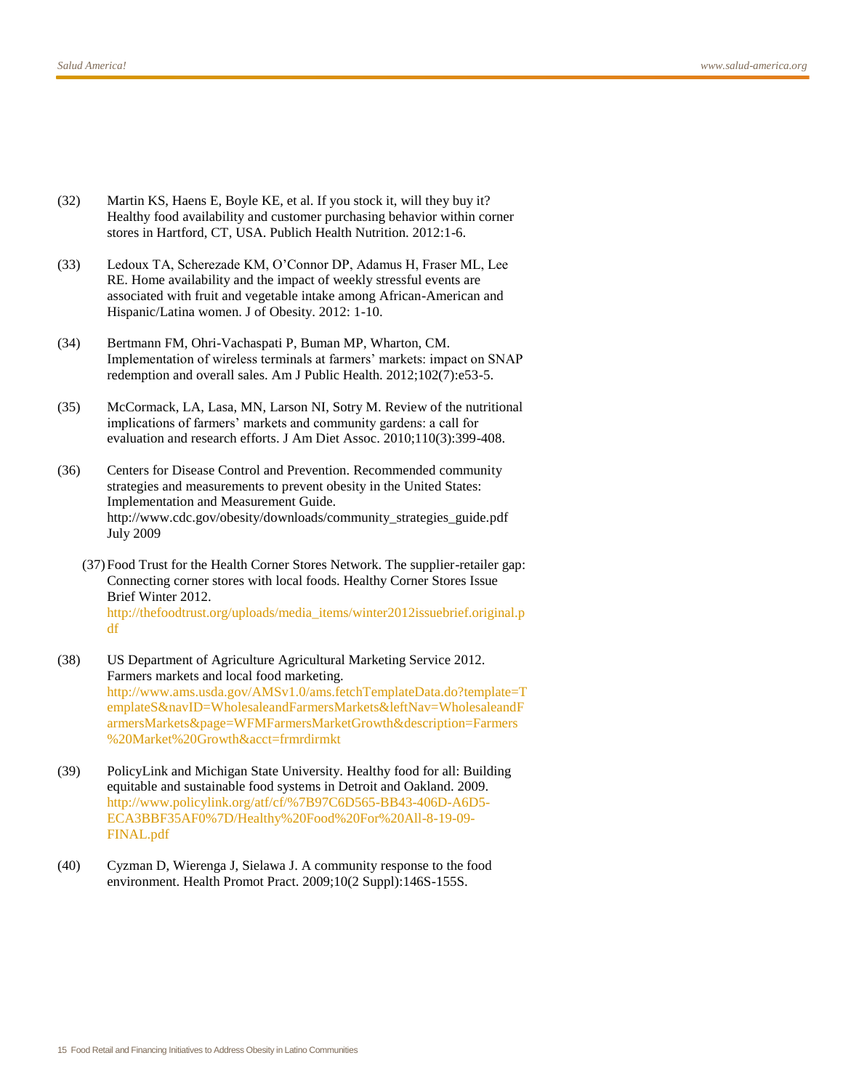- (32) Martin KS, Haens E, Boyle KE, et al. If you stock it, will they buy it? Healthy food availability and customer purchasing behavior within corner stores in Hartford, CT, USA. Publich Health Nutrition. 2012:1-6.
- (33) Ledoux TA, Scherezade KM, O'Connor DP, Adamus H, Fraser ML, Lee RE. Home availability and the impact of weekly stressful events are associated with fruit and vegetable intake among African-American and Hispanic/Latina women. J of Obesity. 2012: 1-10.
- (34) Bertmann FM, Ohri-Vachaspati P, Buman MP, Wharton, CM. Implementation of wireless terminals at farmers' markets: impact on SNAP redemption and overall sales. Am J Public Health. 2012;102(7):e53-5.
- (35) McCormack, LA, Lasa, MN, Larson NI, Sotry M. Review of the nutritional implications of farmers' markets and community gardens: a call for evaluation and research efforts. J Am Diet Assoc. 2010;110(3):399-408.
- (36) Centers for Disease Control and Prevention. Recommended community strategies and measurements to prevent obesity in the United States: Implementation and Measurement Guide. [http://www.cdc.gov/obesity/downloads/community\\_strategies\\_guide.pdf](http://www.cdc.gov/obesity/downloads/community_strategies_guide.pdf) July 2009
	- (37)Food Trust for the Health Corner Stores Network. The supplier-retailer gap: Connecting corner stores with local foods. Healthy Corner Stores Issue Brief Winter 2012. [http://thefoodtrust.org/uploads/media\\_items/winter2012issuebrief.original.p](http://thefoodtrust.org/uploads/media_items/winter2012issuebrief.original.pdf) [df](http://thefoodtrust.org/uploads/media_items/winter2012issuebrief.original.pdf)
- (38) US Department of Agriculture Agricultural Marketing Service 2012. Farmers markets and local food marketing. [http://www.ams.usda.gov/AMSv1.0/ams.fetchTemplateData.do?template=T](http://www.ams.usda.gov/AMSv1.0/ams.fetchTemplateData.do?template=TemplateS&navID=WholesaleandFarmersMarkets&leftNav=WholesaleandFarmersMarkets&page=WFMFarmersMarketGrowth&description=Farmers%20Market%20Growth&acct=frmrdirmkt) [emplateS&navID=WholesaleandFarmersMarkets&leftNav=WholesaleandF](http://www.ams.usda.gov/AMSv1.0/ams.fetchTemplateData.do?template=TemplateS&navID=WholesaleandFarmersMarkets&leftNav=WholesaleandFarmersMarkets&page=WFMFarmersMarketGrowth&description=Farmers%20Market%20Growth&acct=frmrdirmkt) [armersMarkets&page=WFMFarmersMarketGrowth&description=Farmers](http://www.ams.usda.gov/AMSv1.0/ams.fetchTemplateData.do?template=TemplateS&navID=WholesaleandFarmersMarkets&leftNav=WholesaleandFarmersMarkets&page=WFMFarmersMarketGrowth&description=Farmers%20Market%20Growth&acct=frmrdirmkt) [%20Market%20Growth&acct=frmrdirmkt](http://www.ams.usda.gov/AMSv1.0/ams.fetchTemplateData.do?template=TemplateS&navID=WholesaleandFarmersMarkets&leftNav=WholesaleandFarmersMarkets&page=WFMFarmersMarketGrowth&description=Farmers%20Market%20Growth&acct=frmrdirmkt)
- (39) PolicyLink and Michigan State University. Healthy food for all: Building equitable and sustainable food systems in Detroit and Oakland. 2009. [http://www.policylink.org/atf/cf/%7B97C6D565-BB43-406D-A6D5-](http://www.policylink.org/atf/cf/%7B97C6D565-BB43-406D-A6D5-ECA3BBF35AF0%7D/Healthy%20Food%20For%20All-8-19-09-FINAL.pdf) [ECA3BBF35AF0%7D/Healthy%20Food%20For%20All-8-19-09-](http://www.policylink.org/atf/cf/%7B97C6D565-BB43-406D-A6D5-ECA3BBF35AF0%7D/Healthy%20Food%20For%20All-8-19-09-FINAL.pdf) [FINAL.pdf](http://www.policylink.org/atf/cf/%7B97C6D565-BB43-406D-A6D5-ECA3BBF35AF0%7D/Healthy%20Food%20For%20All-8-19-09-FINAL.pdf)
- (40) Cyzman D, Wierenga J, Sielawa J. A community response to the food environment. Health Promot Pract. 2009;10(2 Suppl):146S-155S.